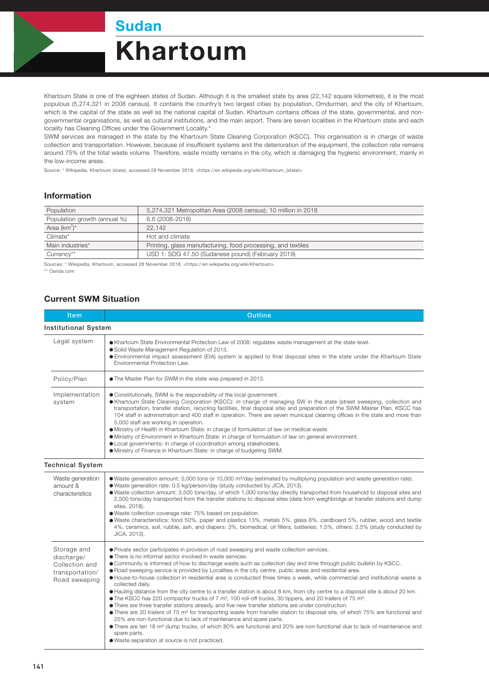Sudan

## Khartoum

Khartoum State is one of the eighteen states of Sudan. Although it is the smallest state by area (22,142 square kilometres), it is the most populous (5,274,321 in 2008 census). It contains the country's two largest cities by population, Omdurman, and the city of Khartoum, which is the capital of the state as well as the national capital of Sudan. Khartoum contains offices of the state, governmental, and nongovernmental organisations, as well as cultural institutions, and the main airport. There are seven localities in the Khartoum state and each locality has Cleaning Offices under the Government Locality.\*

SWM services are managed in the state by the Khartoum State Cleaning Corporation (KSCC). This organisation is in charge of waste collection and transportation. However, because of insufficient systems and the deterioration of the equipment, the collection rate remains around 75% of the total waste volume. Therefore, waste mostly remains in the city, which is damaging the hygienic environment, mainly in the low-income areas.

Source: \* Wikipedia, Khartoum (state), accessed 28 November 2018, <https://en.wikipedia.org/wiki/Khartoum\_(state)>

## Information

| Population                   | 5,274,321 Metropolitan Area (2008 census); 10 million in 2018 |  |
|------------------------------|---------------------------------------------------------------|--|
| Population growth (annual %) | 6.6 (2008-2018)                                               |  |
| Area $(km^2)^*$              | 22.142                                                        |  |
| Climate*                     | Hot arid climate                                              |  |
| Main industries*             | Printing, glass manufacturing, food processing, and textiles  |  |
| Currency**                   | USD 1: SDG 47.50 (Sudanese pound) (February 2019)             |  |

Sources: \* Wikipedia, Khartoum, accessed 28 November 2018, <https://en.wikipedia.org/wiki/Khartoum> \*\* Oanda.com

## Current SWM Situation

| Item                                                                            | <b>Outline</b>                                                                                                                                                                                                                                                                                                                                                                                                                                                                                                                                                                                                                                                                                                                                                                                                                                                                                                                                                                                                                                                                                                                                                                                                                                                                                                                                               |  |  |  |
|---------------------------------------------------------------------------------|--------------------------------------------------------------------------------------------------------------------------------------------------------------------------------------------------------------------------------------------------------------------------------------------------------------------------------------------------------------------------------------------------------------------------------------------------------------------------------------------------------------------------------------------------------------------------------------------------------------------------------------------------------------------------------------------------------------------------------------------------------------------------------------------------------------------------------------------------------------------------------------------------------------------------------------------------------------------------------------------------------------------------------------------------------------------------------------------------------------------------------------------------------------------------------------------------------------------------------------------------------------------------------------------------------------------------------------------------------------|--|--|--|
| <b>Institutional System</b>                                                     |                                                                                                                                                                                                                                                                                                                                                                                                                                                                                                                                                                                                                                                                                                                                                                                                                                                                                                                                                                                                                                                                                                                                                                                                                                                                                                                                                              |  |  |  |
| Legal system                                                                    | • Khartoum State Environmental Protection Law of 2008: regulates waste management at the state level.<br>· Solid Waste Management Regulation of 2013.<br>• Environmental impact assessment (EIA) system is applied to final disposal sites in the state under the Khartoum State<br>Environmental Protection Law.                                                                                                                                                                                                                                                                                                                                                                                                                                                                                                                                                                                                                                                                                                                                                                                                                                                                                                                                                                                                                                            |  |  |  |
| Policy/Plan                                                                     | • The Master Plan for SWM in the state was prepared in 2013.                                                                                                                                                                                                                                                                                                                                                                                                                                                                                                                                                                                                                                                                                                                                                                                                                                                                                                                                                                                                                                                                                                                                                                                                                                                                                                 |  |  |  |
| Implementation<br>system                                                        | • Constitutionally, SWM is the responsibility of the local government.<br>• Khartoum State Cleaning Corporation (KSCC): in charge of managing SW in the state (street sweeping, collection and<br>transportation, transfer station, recycling facilities, final disposal site) and preparation of the SWM Master Plan. KSCC has<br>104 staff in administration and 400 staff in operation. There are seven municipal cleaning offices in the state and more than<br>5,000 staff are working in operation.<br>· Ministry of Health in Khartoum State: in charge of formulation of law on medical waste.<br>• Ministry of Environment in Khartoum State: in charge of formulation of law on general environment.<br>• Local governments: in charge of coordination among stakeholders.<br>· Ministry of Finance in Khartoum State: in charge of budgeting SWM.                                                                                                                                                                                                                                                                                                                                                                                                                                                                                                 |  |  |  |
| <b>Technical System</b>                                                         |                                                                                                                                                                                                                                                                                                                                                                                                                                                                                                                                                                                                                                                                                                                                                                                                                                                                                                                                                                                                                                                                                                                                                                                                                                                                                                                                                              |  |  |  |
| Waste generation<br>amount &<br>characteristics                                 | • Waste generation amount: 5,000 tons or 10,000 m <sup>3</sup> /day (estimated by multiplying population and waste generation rate).<br>• Waste generation rate: 0.5 kg/person/day (study conducted by JICA, 2013).<br>. Waste collection amount: 3,500 tons/day, of which 1,000 tons/day directly transported from household to disposal sites and<br>2,500 tons/day transported from the transfer stations to disposal sites (data from weighbridge at transfer stations and dump<br>sites, 2018).<br>· Waste collection coverage rate: 75% based on population.<br>• Waste characteristics: food 50%, paper and plastics 13%, metals 5%, glass 8%, cardboard 5%, rubber, wood and textile<br>4%, ceramics, soil, rubble, ash, and diapers: 3%, biomedical, oil filters, batteries: 1.5%, others: 3.5% (study conducted by<br>JICA, 2013).                                                                                                                                                                                                                                                                                                                                                                                                                                                                                                                 |  |  |  |
| Storage and<br>discharge/<br>Collection and<br>transportation/<br>Road sweeping | • Private sector participates in provision of road sweeping and waste collection services.<br>• There is no informal sector involved in waste services.<br>• Community is informed of how to discharge waste such as collection day and time through public bulletin by KSCC.<br>• Road sweeping service is provided by Localities in the city centre, public areas and residential area.<br>• House-to-house collection in residential area is conducted three times a week, while commercial and institutional waste is<br>collected daily.<br>• Hauling distance from the city centre to a transfer station is about 8 km, from city centre to a disposal site is about 20 km.<br>● The KSCC has 220 compactor trucks of 7 m <sup>3</sup> , 100 roll-off trucks, 30 tippers, and 20 trailers of 75 m <sup>3</sup> .<br>• There are three transfer stations already, and five new transfer stations are under construction.<br>• There are 20 trailers of 75 m <sup>3</sup> for transporting waste from transfer station to disposal site, of which 75% are functional and<br>25% are non-functional due to lack of maintenance and spare parts.<br>• There are ten 18 m <sup>3</sup> dump trucks, of which 80% are functional and 20% are non-functional due to lack of maintenance and<br>spare parts.<br>• Waste separation at source is not practiced. |  |  |  |